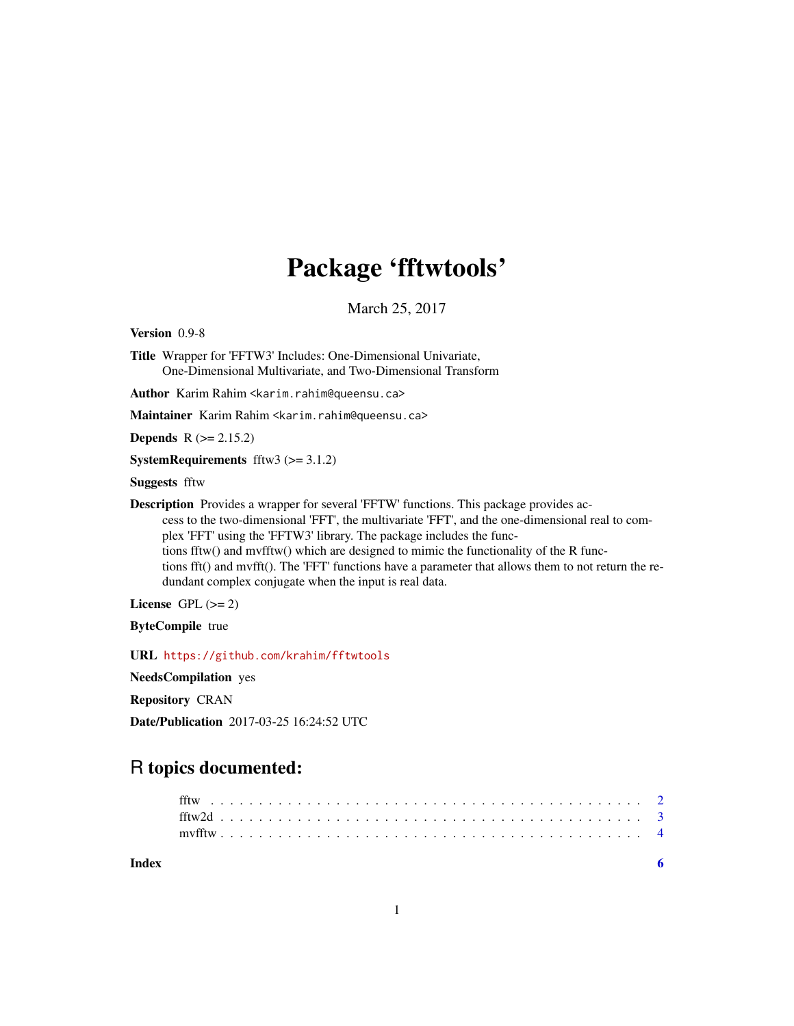## Package 'fftwtools'

March 25, 2017

Version 0.9-8

Title Wrapper for 'FFTW3' Includes: One-Dimensional Univariate, One-Dimensional Multivariate, and Two-Dimensional Transform

Author Karim Rahim <karim.rahim@queensu.ca>

Maintainer Karim Rahim <karim.rahim@queensu.ca>

**Depends**  $R$  ( $>= 2.15.2$ )

**SystemRequirements** fftw3  $(>= 3.1.2)$ 

Suggests fftw

Description Provides a wrapper for several 'FFTW' functions. This package provides access to the two-dimensional 'FFT', the multivariate 'FFT', and the one-dimensional real to complex 'FFT' using the 'FFTW3' library. The package includes the functions fftw() and mvfftw() which are designed to mimic the functionality of the R functions fft() and mvfft(). The 'FFT' functions have a parameter that allows them to not return the redundant complex conjugate when the input is real data.

License GPL  $(>= 2)$ 

ByteCompile true

URL <https://github.com/krahim/fftwtools>

NeedsCompilation yes

Repository CRAN

Date/Publication 2017-03-25 16:24:52 UTC

### R topics documented:

**Index** [6](#page-5-0) **6**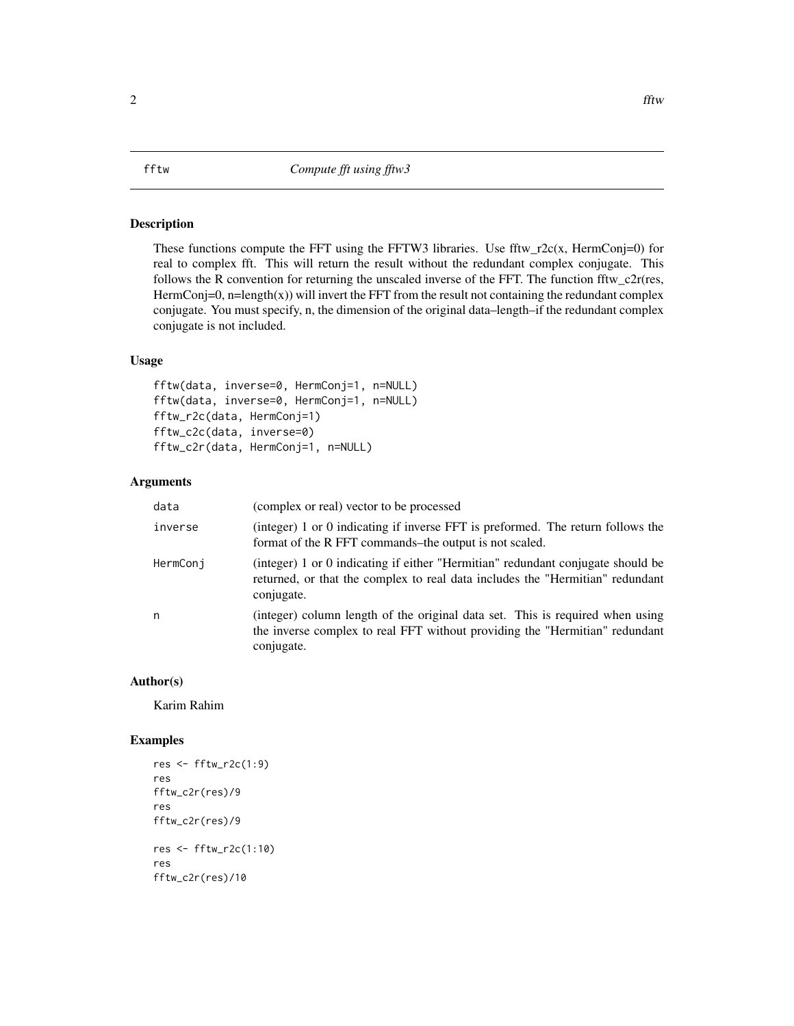#### <span id="page-1-0"></span>Description

These functions compute the FFT using the FFTW3 libraries. Use fftw\_r2c(x, HermConj=0) for real to complex fft. This will return the result without the redundant complex conjugate. This follows the R convention for returning the unscaled inverse of the FFT. The function fftw  $c2r$ (res, HermConj=0, n=length(x)) will invert the FFT from the result not containing the redundant complex conjugate. You must specify, n, the dimension of the original data–length–if the redundant complex conjugate is not included.

#### Usage

```
fftw(data, inverse=0, HermConj=1, n=NULL)
fftw(data, inverse=0, HermConj=1, n=NULL)
fftw_r2c(data, HermConj=1)
fftw_c2c(data, inverse=0)
fftw_c2r(data, HermConj=1, n=NULL)
```
#### Arguments

| data     | (complex or real) vector to be processed                                                                                                                                       |
|----------|--------------------------------------------------------------------------------------------------------------------------------------------------------------------------------|
| inverse  | (integer) 1 or 0 indicating if inverse FFT is preformed. The return follows the<br>format of the R FFT commands-the output is not scaled.                                      |
| HermConj | (integer) 1 or 0 indicating if either "Hermitian" redundant conjugate should be<br>returned, or that the complex to real data includes the "Hermitian" redundant<br>conjugate. |
| n        | (integer) column length of the original data set. This is required when using<br>the inverse complex to real FFT without providing the "Hermitian" redundant<br>conjugate.     |

#### Author(s)

Karim Rahim

#### Examples

```
res <- fftw_r2c(1:9)
res
fftw_c2r(res)/9
res
fftw_c2r(res)/9
res <- fftw_r2c(1:10)
res
fftw_c2r(res)/10
```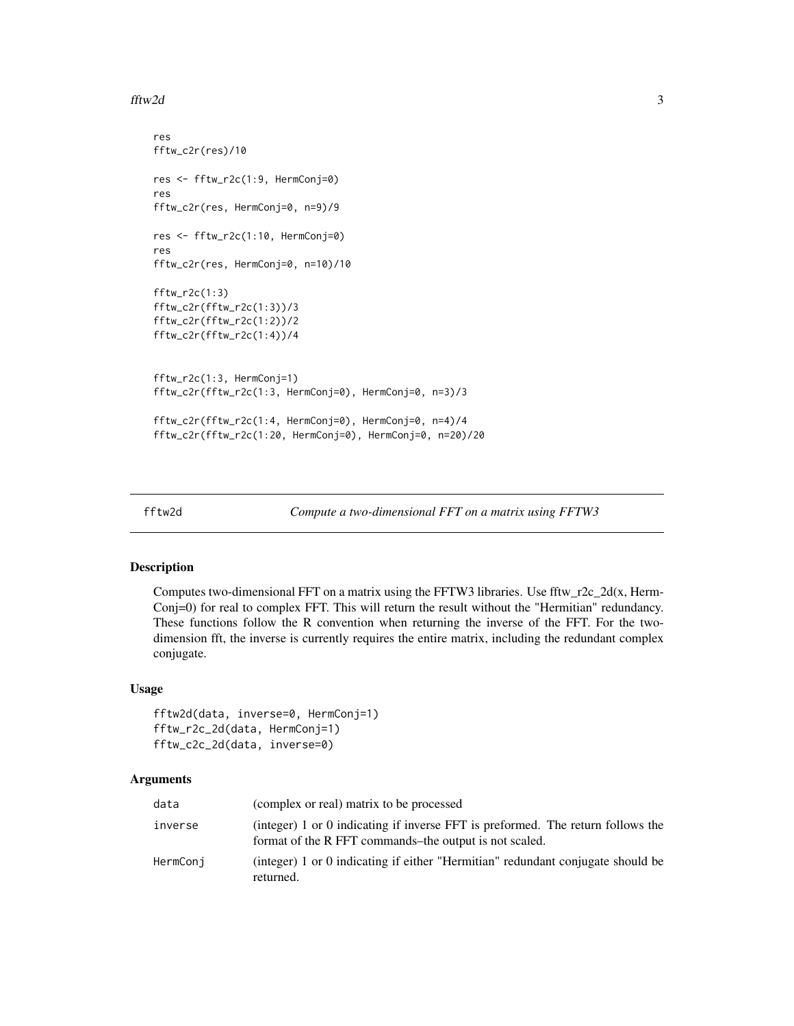#### <span id="page-2-0"></span>fftw $2d$  3

```
res
fftw_c2r(res)/10
res <- fftw_r2c(1:9, HermConj=0)
res
fftw_c2r(res, HermConj=0, n=9)/9
res <- fftw_r2c(1:10, HermConj=0)
res
fftw_c2r(res, HermConj=0, n=10)/10
fftw_r2c(1:3)
fftw_c2r(fftw_r2c(1:3))/3
fftw_c2r(fftw_r2c(1:2))/2
fftw_c2r(fftw_r2c(1:4))/4
fftw_r2c(1:3, HermConj=1)
fftw_c2r(fftw_r2c(1:3, HermConj=0), HermConj=0, n=3)/3
fftw_c2r(fftw_r2c(1:4, HermConj=0), HermConj=0, n=4)/4
fftw_c2r(fftw_r2c(1:20, HermConj=0), HermConj=0, n=20)/20
```
fftw2d *Compute a two-dimensional FFT on a matrix using FFTW3*

#### Description

Computes two-dimensional FFT on a matrix using the FFTW3 libraries. Use fftw\_r2c\_2d(x, Herm-Conj=0) for real to complex FFT. This will return the result without the "Hermitian" redundancy. These functions follow the R convention when returning the inverse of the FFT. For the twodimension fft, the inverse is currently requires the entire matrix, including the redundant complex conjugate.

#### Usage

```
fftw2d(data, inverse=0, HermConj=1)
fftw_r2c_2d(data, HermConj=1)
fftw_c2c_2d(data, inverse=0)
```
#### Arguments

| data     | (complex or real) matrix to be processed                                                                                                  |
|----------|-------------------------------------------------------------------------------------------------------------------------------------------|
| inverse  | (integer) 1 or 0 indicating if inverse FFT is preformed. The return follows the<br>format of the R FFT commands-the output is not scaled. |
| HermConj | (integer) 1 or 0 indicating if either "Hermitian" redundant conjugate should be<br>returned.                                              |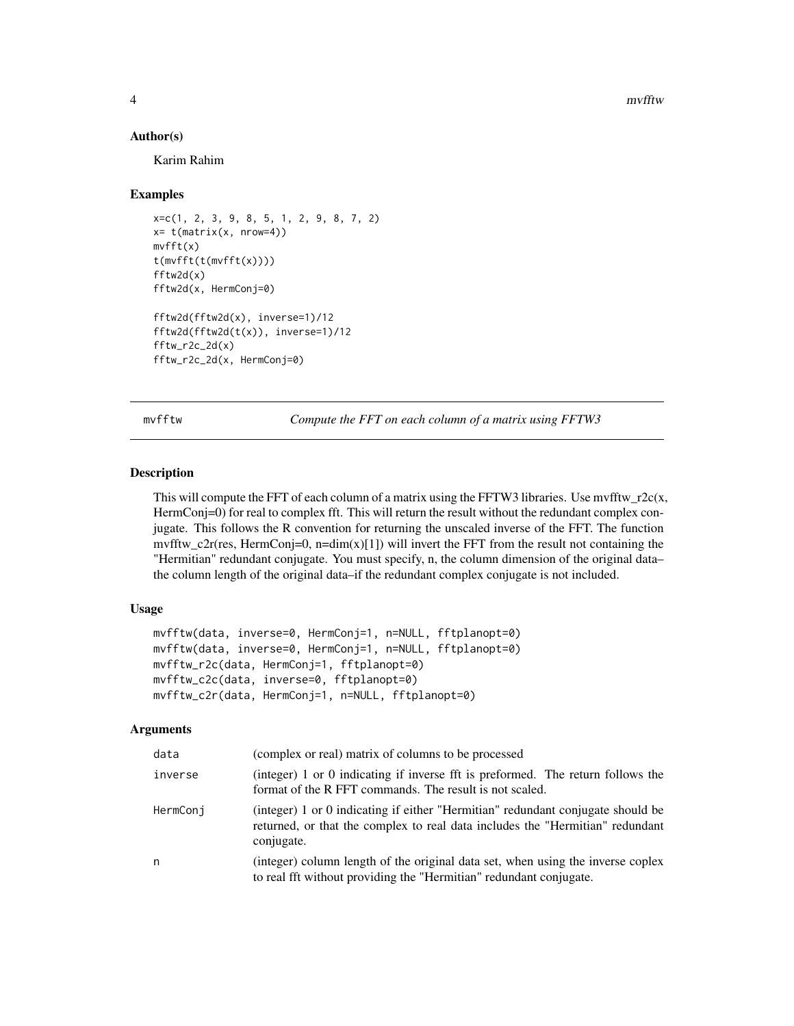<span id="page-3-0"></span>4 mvfftw

#### Author(s)

Karim Rahim

#### Examples

```
x=c(1, 2, 3, 9, 8, 5, 1, 2, 9, 8, 7, 2)
x= t(matrix(x, nrow=4))mvfft(x)
t(mvfft(t(mvfft(x))))
fftw2d(x)
fftw2d(x, HermConj=0)
fftw2d(fftw2d(x), inverse=1)/12
fftw2d(fftw2d(t(x)), inverse=1)/12
fftw_r2c_2d(x)fftw_r2c_2d(x, HermConj=0)
```
mvfftw *Compute the FFT on each column of a matrix using FFTW3*

#### Description

This will compute the FFT of each column of a matrix using the FFTW3 libraries. Use mvfftw\_r2c(x, HermConj=0) for real to complex fft. This will return the result without the redundant complex conjugate. This follows the R convention for returning the unscaled inverse of the FFT. The function mvfftw c2r(res, HermConj=0, n=dim(x)[1]) will invert the FFT from the result not containing the "Hermitian" redundant conjugate. You must specify, n, the column dimension of the original data– the column length of the original data–if the redundant complex conjugate is not included.

#### Usage

```
mvfftw(data, inverse=0, HermConj=1, n=NULL, fftplanopt=0)
mvfftw(data, inverse=0, HermConj=1, n=NULL, fftplanopt=0)
mvfftw_r2c(data, HermConj=1, fftplanopt=0)
mvfftw_c2c(data, inverse=0, fftplanopt=0)
mvfftw_c2r(data, HermConj=1, n=NULL, fftplanopt=0)
```
#### Arguments

| data     | (complex or real) matrix of columns to be processed                                                                                                                            |
|----------|--------------------------------------------------------------------------------------------------------------------------------------------------------------------------------|
| inverse  | (integer) 1 or 0 indicating if inverse fft is preformed. The return follows the<br>format of the R FFT commands. The result is not scaled.                                     |
| HermConj | (integer) 1 or 0 indicating if either "Hermitian" redundant conjugate should be<br>returned, or that the complex to real data includes the "Hermitian" redundant<br>conjugate. |
| n        | (integer) column length of the original data set, when using the inverse coplex<br>to real fft without providing the "Hermitian" redundant conjugate.                          |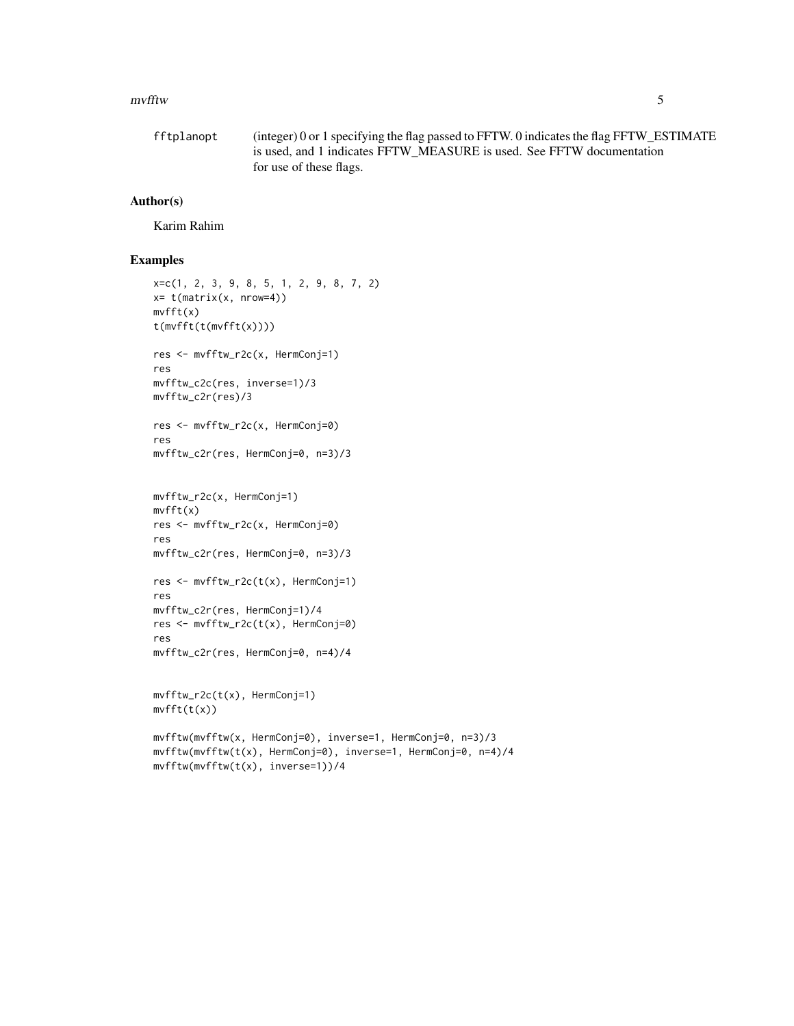#### mvfftw 5

```
fftplanopt (integer) 0 or 1 specifying the flag passed to FFTW. 0 indicates the flag FFTW_ESTIMATE
                 is used, and 1 indicates FFTW_MEASURE is used. See FFTW documentation
                 for use of these flags.
```
#### Author(s)

Karim Rahim

#### Examples

```
x=c(1, 2, 3, 9, 8, 5, 1, 2, 9, 8, 7, 2)
x= t(matrix(x, nrow=4))
mvfft(x)
t(mvfft(t(mvfft(x))))
res <- mvfftw_r2c(x, HermConj=1)
res
mvfftw_c2c(res, inverse=1)/3
mvfftw_c2r(res)/3
res <- mvfftw_r2c(x, HermConj=0)
res
mvfftw_c2r(res, HermConj=0, n=3)/3
mvfftw_r2c(x, HermConj=1)
mvfft(x)
res <- mvfftw_r2c(x, HermConj=0)
res
mvfftw_c2r(res, HermConj=0, n=3)/3
res <- mvfftw_r2c(t(x), HermConj=1)
res
mvfftw_c2r(res, HermConj=1)/4
res <- mvfftw_r2c(t(x), HermConj=0)
res
mvfftw_c2r(res, HermConj=0, n=4)/4
mvfftw_r2c(t(x), HermConj=1)
mvfft(t(x))
mvfftw(mvfftw(x, HermConj=0), inverse=1, HermConj=0, n=3)/3
mvfftw(mvfftw(t(x), HermConj=0), inverse=1, HermConj=0, n=4)/4
mvfftw(mvfftw(t(x), inverse=1))/4
```